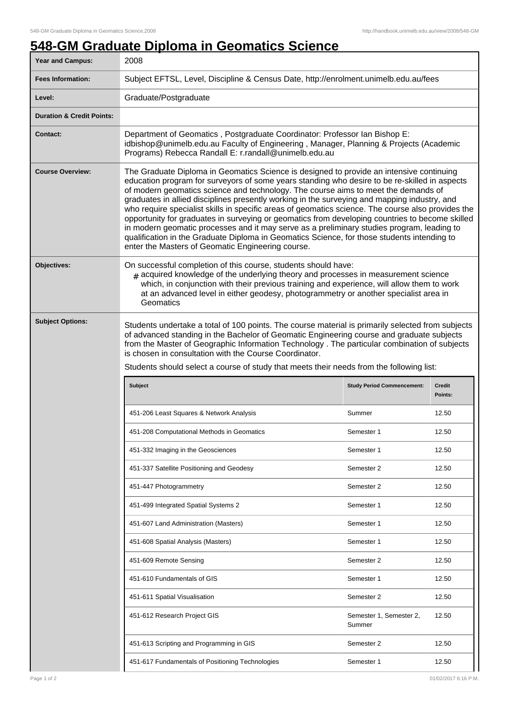## **548-GM Graduate Diploma in Geomatics Science**

| <b>Year and Campus:</b>              | 2008                                                                                                                                                                                                                                                                                                                                                                                                                                                                                                                                                                                                                                                                                                                                                                                                                                       |                                   |                          |  |
|--------------------------------------|--------------------------------------------------------------------------------------------------------------------------------------------------------------------------------------------------------------------------------------------------------------------------------------------------------------------------------------------------------------------------------------------------------------------------------------------------------------------------------------------------------------------------------------------------------------------------------------------------------------------------------------------------------------------------------------------------------------------------------------------------------------------------------------------------------------------------------------------|-----------------------------------|--------------------------|--|
| <b>Fees Information:</b>             | Subject EFTSL, Level, Discipline & Census Date, http://enrolment.unimelb.edu.au/fees                                                                                                                                                                                                                                                                                                                                                                                                                                                                                                                                                                                                                                                                                                                                                       |                                   |                          |  |
| Level:                               | Graduate/Postgraduate                                                                                                                                                                                                                                                                                                                                                                                                                                                                                                                                                                                                                                                                                                                                                                                                                      |                                   |                          |  |
| <b>Duration &amp; Credit Points:</b> |                                                                                                                                                                                                                                                                                                                                                                                                                                                                                                                                                                                                                                                                                                                                                                                                                                            |                                   |                          |  |
| <b>Contact:</b>                      | Department of Geomatics, Postgraduate Coordinator: Professor Ian Bishop E:<br>idbishop@unimelb.edu.au Faculty of Engineering, Manager, Planning & Projects (Academic<br>Programs) Rebecca Randall E: r.randall@unimelb.edu.au                                                                                                                                                                                                                                                                                                                                                                                                                                                                                                                                                                                                              |                                   |                          |  |
| <b>Course Overview:</b>              | The Graduate Diploma in Geomatics Science is designed to provide an intensive continuing<br>education program for surveyors of some years standing who desire to be re-skilled in aspects<br>of modern geomatics science and technology. The course aims to meet the demands of<br>graduates in allied disciplines presently working in the surveying and mapping industry, and<br>who require specialist skills in specific areas of geomatics science. The course also provides the<br>opportunity for graduates in surveying or geomatics from developing countries to become skilled<br>in modern geomatic processes and it may serve as a preliminary studies program, leading to<br>qualification in the Graduate Diploma in Geomatics Science, for those students intending to<br>enter the Masters of Geomatic Engineering course. |                                   |                          |  |
| Objectives:                          | On successful completion of this course, students should have:<br>$_{\text{\#}}$ acquired knowledge of the underlying theory and processes in measurement science<br>which, in conjunction with their previous training and experience, will allow them to work<br>at an advanced level in either geodesy, photogrammetry or another specialist area in<br>Geomatics                                                                                                                                                                                                                                                                                                                                                                                                                                                                       |                                   |                          |  |
| <b>Subject Options:</b>              | Students undertake a total of 100 points. The course material is primarily selected from subjects<br>of advanced standing in the Bachelor of Geomatic Engineering course and graduate subjects<br>from the Master of Geographic Information Technology . The particular combination of subjects<br>is chosen in consultation with the Course Coordinator.<br>Students should select a course of study that meets their needs from the following list:                                                                                                                                                                                                                                                                                                                                                                                      |                                   |                          |  |
|                                      |                                                                                                                                                                                                                                                                                                                                                                                                                                                                                                                                                                                                                                                                                                                                                                                                                                            |                                   |                          |  |
|                                      | <b>Subject</b>                                                                                                                                                                                                                                                                                                                                                                                                                                                                                                                                                                                                                                                                                                                                                                                                                             | <b>Study Period Commencement:</b> | <b>Credit</b><br>Points: |  |
|                                      | 451-206 Least Squares & Network Analysis                                                                                                                                                                                                                                                                                                                                                                                                                                                                                                                                                                                                                                                                                                                                                                                                   | Summer                            | 12.50                    |  |
|                                      | 451-208 Computational Methods in Geomatics                                                                                                                                                                                                                                                                                                                                                                                                                                                                                                                                                                                                                                                                                                                                                                                                 | Semester 1                        | 12.50                    |  |
|                                      | 451-332 Imaging in the Geosciences                                                                                                                                                                                                                                                                                                                                                                                                                                                                                                                                                                                                                                                                                                                                                                                                         | Semester 1                        | 12.50                    |  |
|                                      | 451-337 Satellite Positioning and Geodesy                                                                                                                                                                                                                                                                                                                                                                                                                                                                                                                                                                                                                                                                                                                                                                                                  | Semester 2                        | 12.50                    |  |
|                                      | 451-447 Photogrammetry                                                                                                                                                                                                                                                                                                                                                                                                                                                                                                                                                                                                                                                                                                                                                                                                                     | Semester 2                        | 12.50                    |  |
|                                      | 451-499 Integrated Spatial Systems 2                                                                                                                                                                                                                                                                                                                                                                                                                                                                                                                                                                                                                                                                                                                                                                                                       | Semester 1                        | 12.50                    |  |
|                                      | 451-607 Land Administration (Masters)                                                                                                                                                                                                                                                                                                                                                                                                                                                                                                                                                                                                                                                                                                                                                                                                      | Semester 1                        | 12.50                    |  |
|                                      | 451-608 Spatial Analysis (Masters)                                                                                                                                                                                                                                                                                                                                                                                                                                                                                                                                                                                                                                                                                                                                                                                                         | Semester 1                        | 12.50                    |  |
|                                      | 451-609 Remote Sensing                                                                                                                                                                                                                                                                                                                                                                                                                                                                                                                                                                                                                                                                                                                                                                                                                     | Semester 2                        | 12.50                    |  |
|                                      | 451-610 Fundamentals of GIS                                                                                                                                                                                                                                                                                                                                                                                                                                                                                                                                                                                                                                                                                                                                                                                                                | Semester 1                        | 12.50                    |  |
|                                      | 451-611 Spatial Visualisation                                                                                                                                                                                                                                                                                                                                                                                                                                                                                                                                                                                                                                                                                                                                                                                                              | Semester 2                        | 12.50                    |  |
|                                      | 451-612 Research Project GIS                                                                                                                                                                                                                                                                                                                                                                                                                                                                                                                                                                                                                                                                                                                                                                                                               | Semester 1, Semester 2,<br>Summer | 12.50                    |  |
|                                      | 451-613 Scripting and Programming in GIS                                                                                                                                                                                                                                                                                                                                                                                                                                                                                                                                                                                                                                                                                                                                                                                                   | Semester 2                        | 12.50                    |  |